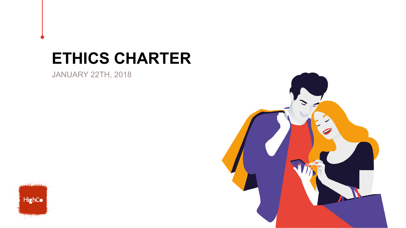# **ETHICS CHARTER**

JANUARY 22TH, 2018



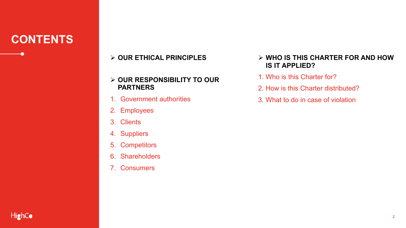# **CONTENTS**

# Ø **OUR ETHICAL PRINCIPLES**

## Ø **OUR RESPONSIBILITY TO OUR PARTNERS**

- 1. Government authorities
- 2. Employees
- 3. Clients
- 4. Suppliers
- 5. Competitors
- 6. Shareholders
- 7. Consumers
- Ø **WHO IS THIS CHARTER FOR AND HOW IS IT APPLIED?**
- 1. Who is this Charter for?
- 2. How is this Charter distributed?
- 3. What to do in case of violation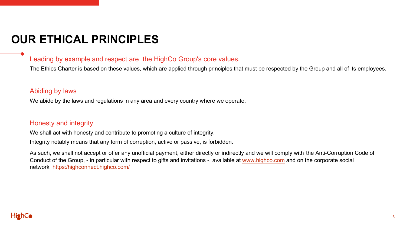# **OUR ETHICAL PRINCIPLES**

### Leading by example and respect are the HighCo Group's core values.

The Ethics Charter is based on these values, which are applied through principles that must be respected by the Group and all of its employees.

#### Abiding by laws

We abide by the laws and regulations in any area and every country where we operate.

#### Honesty and integrity

We shall act with honesty and contribute to promoting a culture of integrity.

Integrity notably means that any form of corruption, active or passive, is forbidden.

As such, we shall not accept or offer any unofficial payment, either directly or indirectly and we will comply with the Anti-Corruption Code of Conduct of the Group, - in particular with respect to gifts and invitations -, available at www.highco.com and on the corporate social network https:/highconnect.highco.com/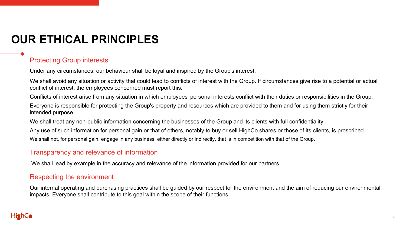# **OUR ETHICAL PRINCIPLES**

# Protecting Group interests

Under any circumstances, our behaviour shall be loyal and inspired by the Group's interest.

We shall avoid any situation or activity that could lead to conflicts of interest with the Group. If circumstances give rise to a potential or actual conflict of interest, the employees concerned must report this.

Conflicts of interest arise from any situation in which employees' personal interests conflict with their duties or responsibilities in the Group.

Everyone is responsible for protecting the Group's property and resources which are provided to them and for using them strictly for their intended purpose.

We shall treat any non-public information concerning the businesses of the Group and its clients with full confidentiality.

Any use of such information for personal gain or that of others, notably to buy or sell HighCo shares or those of its clients, is proscribed.

We shall not, for personal gain, engage in any business, either directly or indirectly, that is in competition with that of the Group.

### Transparency and relevance of information

We shall lead by example in the accuracy and relevance of the information provided for our partners.

#### Respecting the environment

Our internal operating and purchasing practices shall be guided by our respect for the environment and the aim of reducing our environmental impacts. Everyone shall contribute to this goal within the scope of their functions.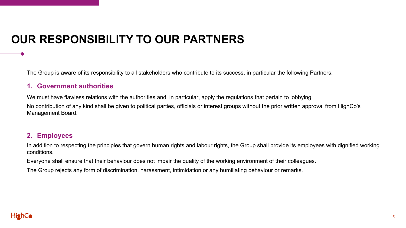# **OUR RESPONSIBILITY TO OUR PARTNERS**

The Group is aware of its responsibility to all stakeholders who contribute to its success, in particular the following Partners:

#### **1. Government authorities**

We must have flawless relations with the authorities and, in particular, apply the regulations that pertain to lobbying.

No contribution of any kind shall be given to political parties, officials or interest groups without the prior written approval from HighCo's Management Board.

#### **2. Employees**

In addition to respecting the principles that govern human rights and labour rights, the Group shall provide its employees with dignified working conditions.

Everyone shall ensure that their behaviour does not impair the quality of the working environment of their colleagues.

The Group rejects any form of discrimination, harassment, intimidation or any humiliating behaviour or remarks.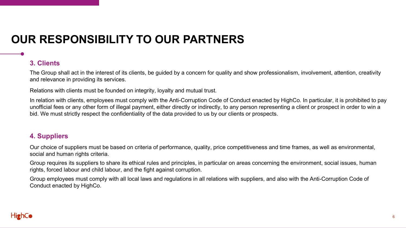# **OUR RESPONSIBILITY TO OUR PARTNERS**

# **3. Clients**

The Group shall act in the interest of its clients, be guided by a concern for quality and show professionalism, involvement, attention, creativity and relevance in providing its services.

Relations with clients must be founded on integrity, loyalty and mutual trust.

In relation with clients, employees must comply with the Anti-Corruption Code of Conduct enacted by HighCo. In particular, it is prohibited to pay unofficial fees or any other form of illegal payment, either directly or indirectly, to any person representing a client or prospect in order to win a bid. We must strictly respect the confidentiality of the data provided to us by our clients or prospects.

## **4. Suppliers**

Our choice of suppliers must be based on criteria of performance, quality, price competitiveness and time frames, as well as environmental, social and human rights criteria.

Group requires its suppliers to share its ethical rules and principles, in particular on areas concerning the environment, social issues, human rights, forced labour and child labour, and the fight against corruption.

Group employees must comply with all local laws and regulations in all relations with suppliers, and also with the Anti-Corruption Code of Conduct enacted by HighCo.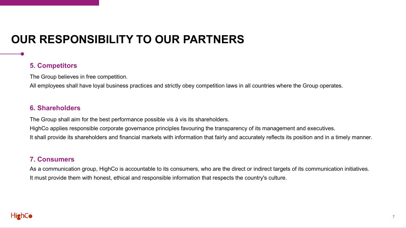# **OUR RESPONSIBILITY TO OUR PARTNERS**

### **5. Competitors**

The Group believes in free competition.

All employees shall have loyal business practices and strictly obey competition laws in all countries where the Group operates.

#### **6. Shareholders**

The Group shall aim for the best performance possible vis à vis its shareholders.

HighCo applies responsible corporate governance principles favouring the transparency of its management and executives.

It shall provide its shareholders and financial markets with information that fairly and accurately reflects its position and in a timely manner.

#### **7. Consumers**

As a communication group, HighCo is accountable to its consumers, who are the direct or indirect targets of its communication initiatives. It must provide them with honest, ethical and responsible information that respects the country's culture.